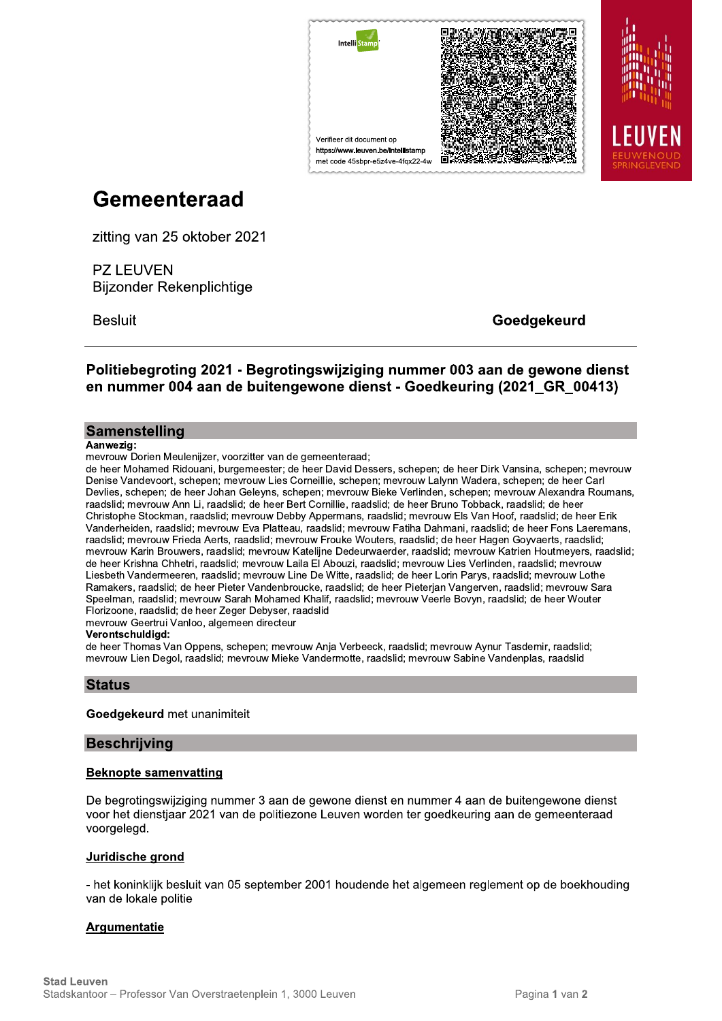

# Gemeenteraad

zitting van 25 oktober 2021

**PZ LEUVEN Bijzonder Rekenplichtige** 

**Besluit** 

Goedgekeurd

Politiebegroting 2021 - Begrotingswijziging nummer 003 aan de gewone dienst en nummer 004 aan de buitengewone dienst - Goedkeuring (2021 GR 00413)

## Samenstelling

#### Aanwezig:

mevrouw Dorien Meulenijzer, voorzitter van de gemeenteraad;

de heer Mohamed Ridouani, burgemeester; de heer David Dessers, schepen; de heer Dirk Vansina, schepen; mevrouw Denise Vandevoort, schepen; mevrouw Lies Corneillie, schepen; mevrouw Lalynn Wadera, schepen; de heer Carl Devlies, schepen; de heer Johan Geleyns, schepen; mevrouw Bieke Verlinden, schepen; mevrouw Alexandra Roumans, raadslid; mevrouw Ann Li, raadslid; de heer Bert Cornillie, raadslid; de heer Bruno Tobback, raadslid; de heer Christophe Stockman, raadslid; mevrouw Debby Appermans, raadslid; mevrouw Els Van Hoof, raadslid; de heer Erik Vanderheiden, raadslid; mevrouw Eva Platteau, raadslid; mevrouw Fatiha Dahmani, raadslid; de heer Fons Laeremans, raadslid; mevrouw Frieda Aerts, raadslid; mevrouw Frouke Wouters, raadslid; de heer Hagen Goyvaerts, raadslid; mevrouw Karin Brouwers, raadslid; mevrouw Katelijne Dedeurwaerder, raadslid; mevrouw Katrien Houtmeyers, raadslid; de heer Krishna Chhetri, raadslid; mevrouw Laila El Abouzi, raadslid; mevrouw Lies Verlinden, raadslid; mevrouw Liesbeth Vandermeeren, raadslid; mevrouw Line De Witte, raadslid; de heer Lorin Parys, raadslid; mevrouw Lothe Ramakers, raadslid; de heer Pieter Vandenbroucke, raadslid; de heer Pieterjan Vangerven, raadslid; mevrouw Sara Speelman, raadslid; mevrouw Sarah Mohamed Khalif, raadslid; mevrouw Veerle Boyyn, raadslid; de heer Wouter Florizoone, raadslid; de heer Zeger Debyser, raadslid

mevrouw Geertrui Vanloo, algemeen directeur

#### Verontschuldigd:

de heer Thomas Van Oppens, schepen; mevrouw Anja Verbeeck, raadslid; mevrouw Aynur Tasdemir, raadslid; mevrouw Lien Degol, raadslid; mevrouw Mieke Vandermotte, raadslid; mevrouw Sabine Vandenplas, raadslid

## **Status**

#### Goedgekeurd met unanimiteit

#### **Beschrijving**

#### **Beknopte samenvatting**

De begrotingswijziging nummer 3 aan de gewone dienst en nummer 4 aan de buitengewone dienst voor het dienstjaar 2021 van de politiezone Leuven worden ter goedkeuring aan de gemeenteraad voorgelegd.

#### Juridische grond

- het koninklijk besluit van 05 september 2001 houdende het algemeen reglement op de boekhouding van de lokale politie

## Argumentatie